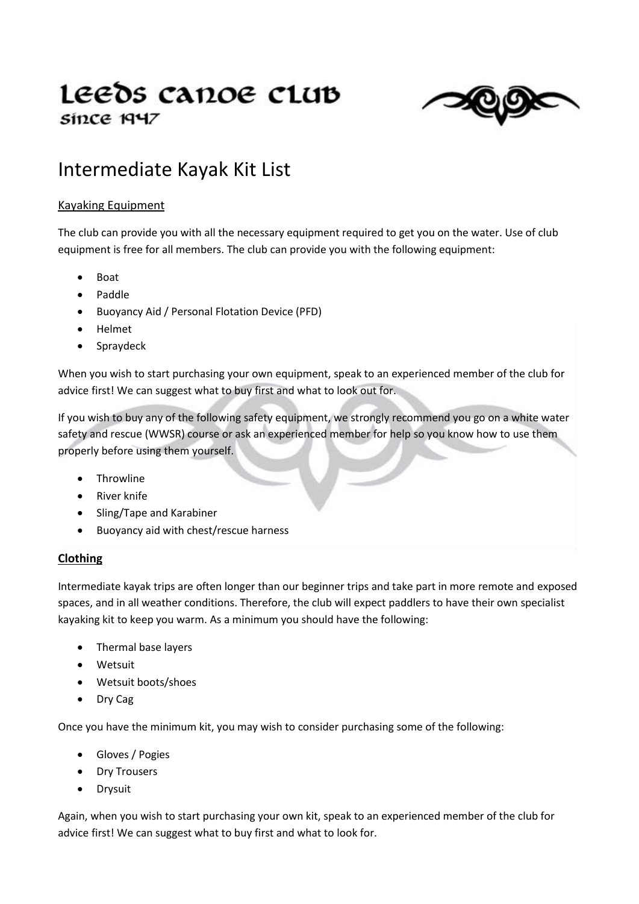# Leeds canoe club since 1947



# Intermediate Kayak Kit List

## Kayaking Equipment

The club can provide you with all the necessary equipment required to get you on the water. Use of club equipment is free for all members. The club can provide you with the following equipment:

- Boat
- Paddle
- Buoyancy Aid / Personal Flotation Device (PFD)
- Helmet
- Spraydeck

When you wish to start purchasing your own equipment, speak to an experienced member of the club for advice first! We can suggest what to buy first and what to look out for.

If you wish to buy any of the following safety equipment, we strongly recommend you go on a white water safety and rescue (WWSR) course or ask an experienced member for help so you know how to use them properly before using them yourself.

- Throwline
- River knife
- Sling/Tape and Karabiner
- Buoyancy aid with chest/rescue harness

#### **Clothing**

Intermediate kayak trips are often longer than our beginner trips and take part in more remote and exposed spaces, and in all weather conditions. Therefore, the club will expect paddlers to have their own specialist kayaking kit to keep you warm. As a minimum you should have the following:

- Thermal base layers
- Wetsuit
- Wetsuit boots/shoes
- Dry Cag

Once you have the minimum kit, you may wish to consider purchasing some of the following:

- Gloves / Pogies
- Dry Trousers
- Drysuit

Again, when you wish to start purchasing your own kit, speak to an experienced member of the club for advice first! We can suggest what to buy first and what to look for.